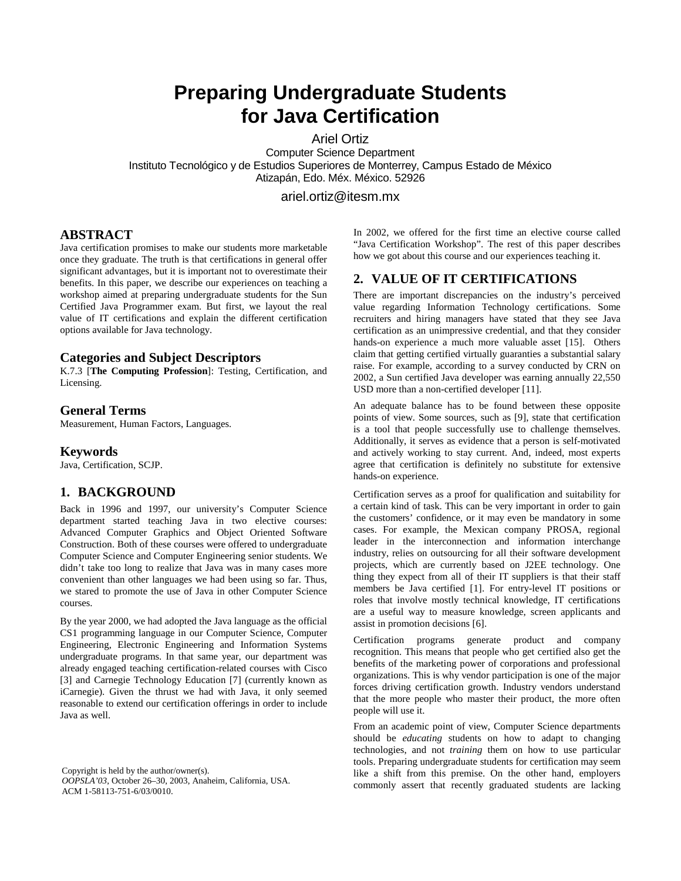# **Preparing Undergraduate Students for Java Certification**

Ariel Ortiz

Computer Science Department Instituto Tecnológico y de Estudios Superiores de Monterrey, Campus Estado de México Atizapán, Edo. Méx. México. 52926

ariel.ortiz@itesm.mx

#### **ABSTRACT**

Java certification promises to make our students more marketable once they graduate. The truth is that certifications in general offer significant advantages, but it is important not to overestimate their benefits. In this paper, we describe our experiences on teaching a workshop aimed at preparing undergraduate students for the Sun Certified Java Programmer exam. But first, we layout the real value of IT certifications and explain the different certification options available for Java technology.

#### **Categories and Subject Descriptors**

K.7.3 [**The Computing Profession**]: Testing, Certification, and Licensing.

#### **General Terms**

Measurement, Human Factors, Languages.

#### **Keywords**

Java, Certification, SCJP.

#### **1. BACKGROUND**

Back in 1996 and 1997, our university's Computer Science department started teaching Java in two elective courses: Advanced Computer Graphics and Object Oriented Software Construction. Both of these courses were offered to undergraduate Computer Science and Computer Engineering senior students. We didn't take too long to realize that Java was in many cases more convenient than other languages we had been using so far. Thus, we stared to promote the use of Java in other Computer Science courses.

By the year 2000, we had adopted the Java language as the official CS1 programming language in our Computer Science, Computer Engineering, Electronic Engineering and Information Systems undergraduate programs. In that same year, our department was already engaged teaching certification-related courses with Cisco [3] and Carnegie Technology Education [7] (currently known as iCarnegie). Given the thrust we had with Java, it only seemed reasonable to extend our certification offerings in order to include Java as well.

Copyright is held by the author/owner(s). *OOPSLA'03*, October 26–30, 2003, Anaheim, California, USA. ACM 1-58113-751-6/03/0010.

In 2002, we offered for the first time an elective course called "Java Certification Workshop". The rest of this paper describes how we got about this course and our experiences teaching it.

#### **2. VALUE OF IT CERTIFICATIONS**

There are important discrepancies on the industry's perceived value regarding Information Technology certifications. Some recruiters and hiring managers have stated that they see Java certification as an unimpressive credential, and that they consider hands-on experience a much more valuable asset [15]. Others claim that getting certified virtually guaranties a substantial salary raise. For example, according to a survey conducted by CRN on 2002, a Sun certified Java developer was earning annually 22,550 USD more than a non-certified developer [11].

An adequate balance has to be found between these opposite points of view. Some sources, such as [9], state that certification is a tool that people successfully use to challenge themselves. Additionally, it serves as evidence that a person is self-motivated and actively working to stay current. And, indeed, most experts agree that certification is definitely no substitute for extensive hands-on experience.

Certification serves as a proof for qualification and suitability for a certain kind of task. This can be very important in order to gain the customers' confidence, or it may even be mandatory in some cases. For example, the Mexican company PROSA, regional leader in the interconnection and information interchange industry, relies on outsourcing for all their software development projects, which are currently based on J2EE technology. One thing they expect from all of their IT suppliers is that their staff members be Java certified [1]. For entry-level IT positions or roles that involve mostly technical knowledge, IT certifications are a useful way to measure knowledge, screen applicants and assist in promotion decisions [6].

Certification programs generate product and company recognition. This means that people who get certified also get the benefits of the marketing power of corporations and professional organizations. This is why vendor participation is one of the major forces driving certification growth. Industry vendors understand that the more people who master their product, the more often people will use it.

From an academic point of view, Computer Science departments should be *educating* students on how to adapt to changing technologies, and not *training* them on how to use particular tools. Preparing undergraduate students for certification may seem like a shift from this premise. On the other hand, employers commonly assert that recently graduated students are lacking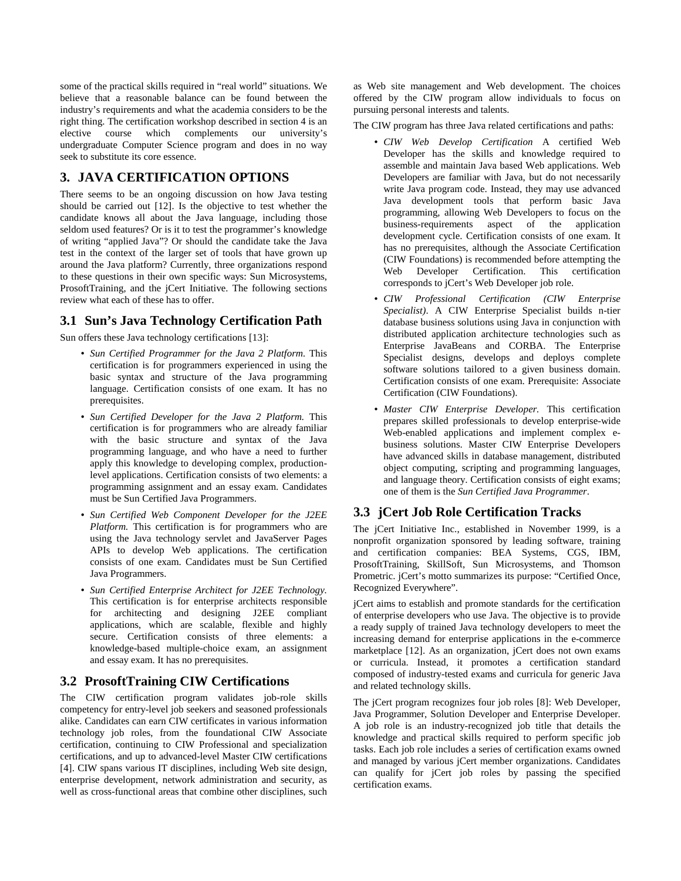some of the practical skills required in "real world" situations. We believe that a reasonable balance can be found between the industry's requirements and what the academia considers to be the right thing. The certification workshop described in section 4 is an elective course which complements our university's undergraduate Computer Science program and does in no way seek to substitute its core essence.

# **3. JAVA CERTIFICATION OPTIONS**

There seems to be an ongoing discussion on how Java testing should be carried out [12]. Is the objective to test whether the candidate knows all about the Java language, including those seldom used features? Or is it to test the programmer's knowledge of writing "applied Java"? Or should the candidate take the Java test in the context of the larger set of tools that have grown up around the Java platform? Currently, three organizations respond to these questions in their own specific ways: Sun Microsystems, ProsoftTraining, and the jCert Initiative. The following sections review what each of these has to offer.

# **3.1 Sun's Java Technology Certification Path**

Sun offers these Java technology certifications [13]:

- *Sun Certified Programmer for the Java 2 Platform.* This certification is for programmers experienced in using the basic syntax and structure of the Java programming language. Certification consists of one exam. It has no prerequisites.
- *Sun Certified Developer for the Java 2 Platform.* This certification is for programmers who are already familiar with the basic structure and syntax of the Java programming language, and who have a need to further apply this knowledge to developing complex, productionlevel applications. Certification consists of two elements: a programming assignment and an essay exam. Candidates must be Sun Certified Java Programmers.
- *Sun Certified Web Component Developer for the J2EE Platform.* This certification is for programmers who are using the Java technology servlet and JavaServer Pages APIs to develop Web applications. The certification consists of one exam. Candidates must be Sun Certified Java Programmers.
- *Sun Certified Enterprise Architect for J2EE Technology.* This certification is for enterprise architects responsible for architecting and designing J2EE compliant applications, which are scalable, flexible and highly secure. Certification consists of three elements: a knowledge-based multiple-choice exam, an assignment and essay exam. It has no prerequisites.

# **3.2 ProsoftTraining CIW Certifications**

The CIW certification program validates job-role skills competency for entry-level job seekers and seasoned professionals alike. Candidates can earn CIW certificates in various information technology job roles, from the foundational CIW Associate certification, continuing to CIW Professional and specialization certifications, and up to advanced-level Master CIW certifications [4]. CIW spans various IT disciplines, including Web site design, enterprise development, network administration and security, as well as cross-functional areas that combine other disciplines, such as Web site management and Web development. The choices offered by the CIW program allow individuals to focus on pursuing personal interests and talents.

The CIW program has three Java related certifications and paths:

- *CIW Web Develop Certification* A certified Web Developer has the skills and knowledge required to assemble and maintain Java based Web applications. Web Developers are familiar with Java, but do not necessarily write Java program code. Instead, they may use advanced Java development tools that perform basic Java programming, allowing Web Developers to focus on the business-requirements aspect of the application development cycle. Certification consists of one exam. It has no prerequisites, although the Associate Certification (CIW Foundations) is recommended before attempting the Web Developer Certification. This certification corresponds to jCert's Web Developer job role.
- *CIW Professional Certification (CIW Enterprise Specialist)*. A CIW Enterprise Specialist builds n-tier database business solutions using Java in conjunction with distributed application architecture technologies such as Enterprise JavaBeans and CORBA. The Enterprise Specialist designs, develops and deploys complete software solutions tailored to a given business domain. Certification consists of one exam. Prerequisite: Associate Certification (CIW Foundations).
- *Master CIW Enterprise Developer.* This certification prepares skilled professionals to develop enterprise-wide Web-enabled applications and implement complex ebusiness solutions. Master CIW Enterprise Developers have advanced skills in database management, distributed object computing, scripting and programming languages, and language theory. Certification consists of eight exams; one of them is the *Sun Certified Java Programmer*.

## **3.3 jCert Job Role Certification Tracks**

The jCert Initiative Inc., established in November 1999, is a nonprofit organization sponsored by leading software, training and certification companies: BEA Systems, CGS, IBM, ProsoftTraining, SkillSoft, Sun Microsystems, and Thomson Prometric. jCert's motto summarizes its purpose: "Certified Once, Recognized Everywhere".

jCert aims to establish and promote standards for the certification of enterprise developers who use Java. The objective is to provide a ready supply of trained Java technology developers to meet the increasing demand for enterprise applications in the e-commerce marketplace [12]. As an organization, jCert does not own exams or curricula. Instead, it promotes a certification standard composed of industry-tested exams and curricula for generic Java and related technology skills.

The jCert program recognizes four job roles [8]: Web Developer, Java Programmer, Solution Developer and Enterprise Developer. A job role is an industry-recognized job title that details the knowledge and practical skills required to perform specific job tasks. Each job role includes a series of certification exams owned and managed by various jCert member organizations. Candidates can qualify for jCert job roles by passing the specified certification exams.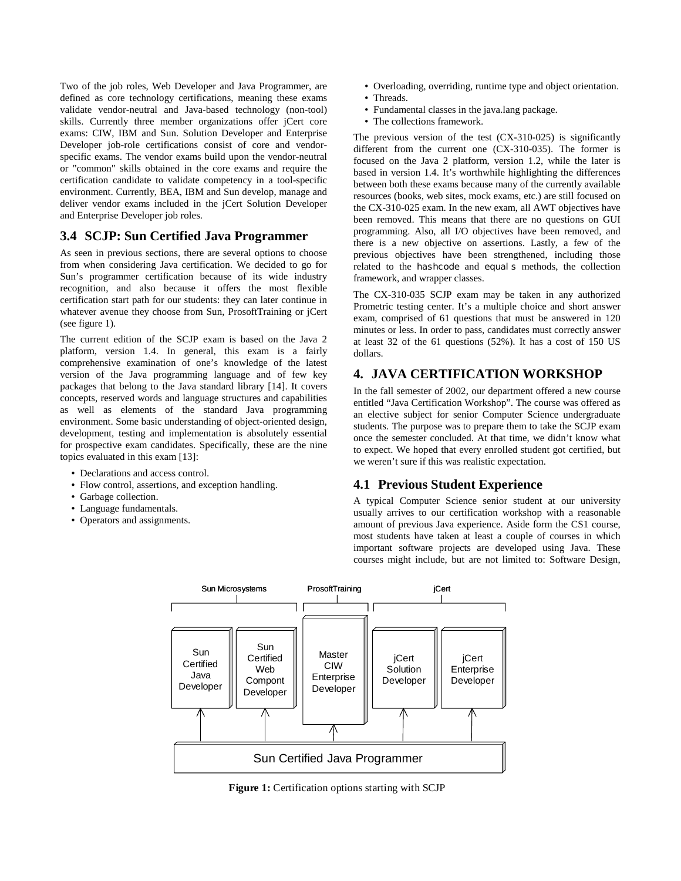Two of the job roles, Web Developer and Java Programmer, are defined as core technology certifications, meaning these exams validate vendor-neutral and Java-based technology (non-tool) skills. Currently three member organizations offer jCert core exams: CIW, IBM and Sun. Solution Developer and Enterprise Developer job-role certifications consist of core and vendorspecific exams. The vendor exams build upon the vendor-neutral or "common" skills obtained in the core exams and require the certification candidate to validate competency in a tool-specific environment. Currently, BEA, IBM and Sun develop, manage and deliver vendor exams included in the jCert Solution Developer and Enterprise Developer job roles.

## **3.4 SCJP: Sun Certified Java Programmer**

As seen in previous sections, there are several options to choose from when considering Java certification. We decided to go for Sun's programmer certification because of its wide industry recognition, and also because it offers the most flexible certification start path for our students: they can later continue in whatever avenue they choose from Sun, ProsoftTraining or jCert (see figure 1).

The current edition of the SCJP exam is based on the Java 2 platform, version 1.4. In general, this exam is a fairly comprehensive examination of one's knowledge of the latest version of the Java programming language and of few key packages that belong to the Java standard library [14]. It covers concepts, reserved words and language structures and capabilities as well as elements of the standard Java programming environment. Some basic understanding of object-oriented design, development, testing and implementation is absolutely essential for prospective exam candidates. Specifically, these are the nine topics evaluated in this exam [13]:

- Declarations and access control.
- Flow control, assertions, and exception handling.
- Garbage collection.
- Language fundamentals.
- Operators and assignments.
- Overloading, overriding, runtime type and object orientation.
- Threads.
- Fundamental classes in the java.lang package.
- The collections framework.

The previous version of the test (CX-310-025) is significantly different from the current one (CX-310-035). The former is focused on the Java 2 platform, version 1.2, while the later is based in version 1.4. It's worthwhile highlighting the differences between both these exams because many of the currently available resources (books, web sites, mock exams, etc.) are still focused on the CX-310-025 exam. In the new exam, all AWT objectives have been removed. This means that there are no questions on GUI programming. Also, all I/O objectives have been removed, and there is a new objective on assertions. Lastly, a few of the previous objectives have been strengthened, including those related to the hashcode and equal s methods, the collection framework, and wrapper classes.

The CX-310-035 SCJP exam may be taken in any authorized Prometric testing center. It's a multiple choice and short answer exam, comprised of 61 questions that must be answered in 120 minutes or less. In order to pass, candidates must correctly answer at least 32 of the 61 questions (52%). It has a cost of 150 US dollars.

## **4. JAVA CERTIFICATION WORKSHOP**

In the fall semester of 2002, our department offered a new course entitled "Java Certification Workshop". The course was offered as an elective subject for senior Computer Science undergraduate students. The purpose was to prepare them to take the SCJP exam once the semester concluded. At that time, we didn't know what to expect. We hoped that every enrolled student got certified, but we weren't sure if this was realistic expectation.

## **4.1 Previous Student Experience**

A typical Computer Science senior student at our university usually arrives to our certification workshop with a reasonable amount of previous Java experience. Aside form the CS1 course, most students have taken at least a couple of courses in which important software projects are developed using Java. These courses might include, but are not limited to: Software Design,



**Figure 1:** Certification options starting with SCJP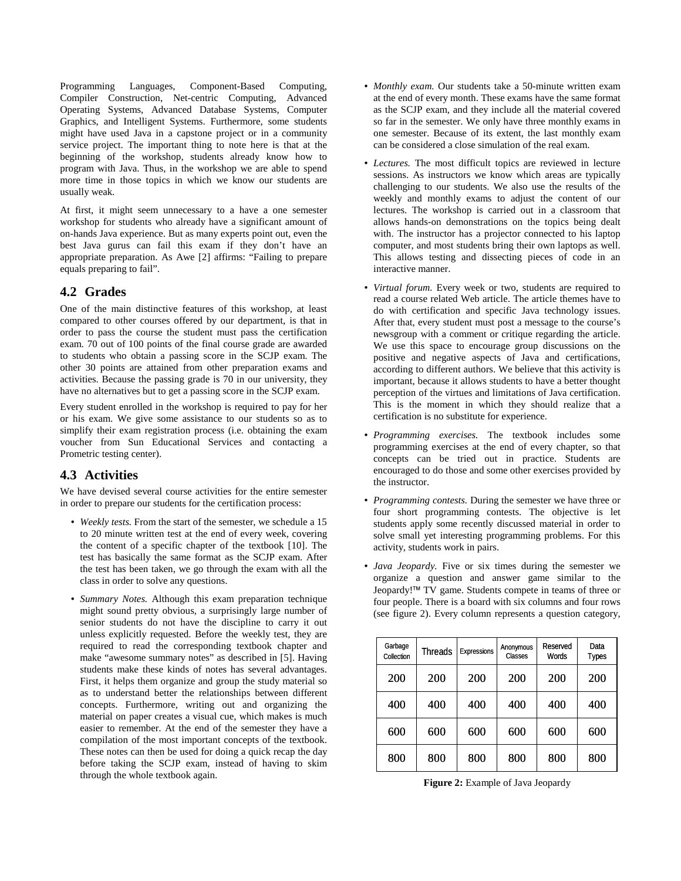Programming Languages, Component-Based Computing, Compiler Construction, Net-centric Computing, Advanced Operating Systems, Advanced Database Systems, Computer Graphics, and Intelligent Systems. Furthermore, some students might have used Java in a capstone project or in a community service project. The important thing to note here is that at the beginning of the workshop, students already know how to program with Java. Thus, in the workshop we are able to spend more time in those topics in which we know our students are usually weak.

At first, it might seem unnecessary to a have a one semester workshop for students who already have a significant amount of on-hands Java experience. But as many experts point out, even the best Java gurus can fail this exam if they don't have an appropriate preparation. As Awe [2] affirms: "Failing to prepare equals preparing to fail".

#### **4.2 Grades**

One of the main distinctive features of this workshop, at least compared to other courses offered by our department, is that in order to pass the course the student must pass the certification exam. 70 out of 100 points of the final course grade are awarded to students who obtain a passing score in the SCJP exam. The other 30 points are attained from other preparation exams and activities. Because the passing grade is 70 in our university, they have no alternatives but to get a passing score in the SCJP exam.

Every student enrolled in the workshop is required to pay for her or his exam. We give some assistance to our students so as to simplify their exam registration process (i.e. obtaining the exam voucher from Sun Educational Services and contacting a Prometric testing center).

## **4.3 Activities**

We have devised several course activities for the entire semester in order to prepare our students for the certification process:

- *Weekly tests.* From the start of the semester, we schedule a 15 to 20 minute written test at the end of every week, covering the content of a specific chapter of the textbook [10]. The test has basically the same format as the SCJP exam. After the test has been taken, we go through the exam with all the class in order to solve any questions.
- *Summary Notes.* Although this exam preparation technique might sound pretty obvious, a surprisingly large number of senior students do not have the discipline to carry it out unless explicitly requested. Before the weekly test, they are required to read the corresponding textbook chapter and make "awesome summary notes" as described in [5]. Having students make these kinds of notes has several advantages. First, it helps them organize and group the study material so as to understand better the relationships between different concepts. Furthermore, writing out and organizing the material on paper creates a visual cue, which makes is much easier to remember. At the end of the semester they have a compilation of the most important concepts of the textbook. These notes can then be used for doing a quick recap the day before taking the SCJP exam, instead of having to skim through the whole textbook again.
- *Monthly exam.* Our students take a 50-minute written exam at the end of every month. These exams have the same format as the SCJP exam, and they include all the material covered so far in the semester. We only have three monthly exams in one semester. Because of its extent, the last monthly exam can be considered a close simulation of the real exam.
- *Lectures.* The most difficult topics are reviewed in lecture sessions. As instructors we know which areas are typically challenging to our students. We also use the results of the weekly and monthly exams to adjust the content of our lectures. The workshop is carried out in a classroom that allows hands-on demonstrations on the topics being dealt with. The instructor has a projector connected to his laptop computer, and most students bring their own laptops as well. This allows testing and dissecting pieces of code in an interactive manner.
- *Virtual forum.* Every week or two, students are required to read a course related Web article. The article themes have to do with certification and specific Java technology issues. After that, every student must post a message to the course's newsgroup with a comment or critique regarding the article. We use this space to encourage group discussions on the positive and negative aspects of Java and certifications, according to different authors. We believe that this activity is important, because it allows students to have a better thought perception of the virtues and limitations of Java certification. This is the moment in which they should realize that a certification is no substitute for experience.
- *Programming exercises.* The textbook includes some programming exercises at the end of every chapter, so that concepts can be tried out in practice. Students are encouraged to do those and some other exercises provided by the instructor.
- *Programming contests.* During the semester we have three or four short programming contests. The objective is let students apply some recently discussed material in order to solve small yet interesting programming problems. For this activity, students work in pairs.
- *Java Jeopardy.* Five or six times during the semester we organize a question and answer game similar to the Jeopardy!<sup>™</sup> TV game. Students compete in teams of three or four people. There is a board with six columns and four rows (see figure 2). Every column represents a question category,

| Garbage<br>Collection | Threads | <b>Expressions</b> | Anonymous<br>Classes | Reserved<br><b>Words</b> | Data<br>Types |
|-----------------------|---------|--------------------|----------------------|--------------------------|---------------|
| 200                   | 200     | 200                | 200                  | 200                      | 200           |
| 400                   | 400     | 400                | 400                  | 400                      | 400           |
| 600                   | 600     | 600                | 600                  | 600                      | 600           |
| 800                   | 800     | 800                | 800                  | 800                      | 800           |

**Figure 2:** Example of Java Jeopardy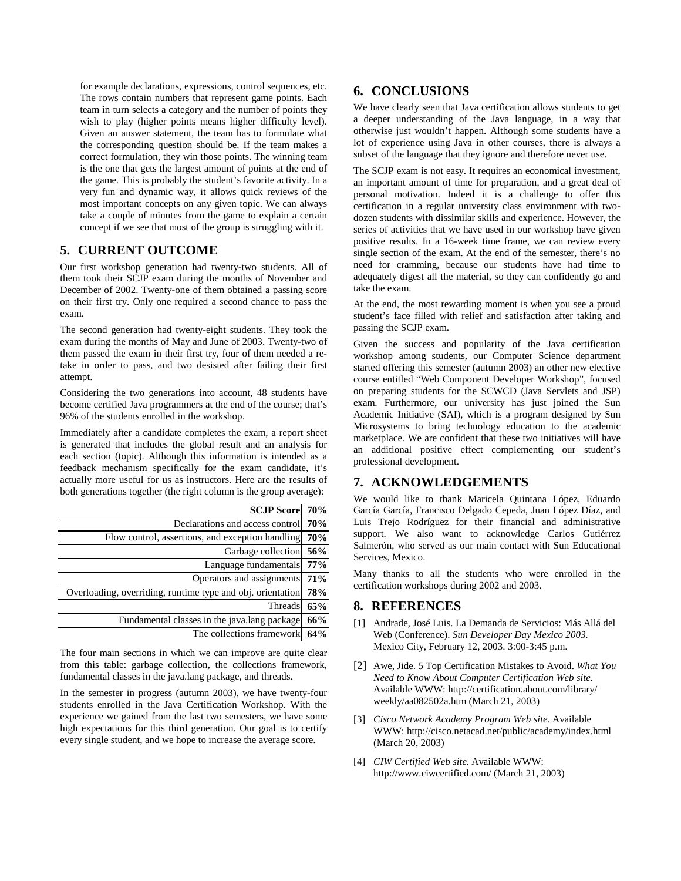for example declarations, expressions, control sequences, etc. The rows contain numbers that represent game points. Each team in turn selects a category and the number of points they wish to play (higher points means higher difficulty level). Given an answer statement, the team has to formulate what the corresponding question should be. If the team makes a correct formulation, they win those points. The winning team is the one that gets the largest amount of points at the end of the game. This is probably the student's favorite activity. In a very fun and dynamic way, it allows quick reviews of the most important concepts on any given topic. We can always take a couple of minutes from the game to explain a certain concept if we see that most of the group is struggling with it.

## **5. CURRENT OUTCOME**

Our first workshop generation had twenty-two students. All of them took their SCJP exam during the months of November and December of 2002. Twenty-one of them obtained a passing score on their first try. Only one required a second chance to pass the exam.

The second generation had twenty-eight students. They took the exam during the months of May and June of 2003. Twenty-two of them passed the exam in their first try, four of them needed a retake in order to pass, and two desisted after failing their first attempt.

Considering the two generations into account, 48 students have become certified Java programmers at the end of the course; that's 96% of the students enrolled in the workshop.

Immediately after a candidate completes the exam, a report sheet is generated that includes the global result and an analysis for each section (topic). Although this information is intended as a feedback mechanism specifically for the exam candidate, it's actually more useful for us as instructors. Here are the results of both generations together (the right column is the group average):

|     | <b>SCJP Score</b> 70%                                      |
|-----|------------------------------------------------------------|
| 70% | Declarations and access control                            |
| 70% | Flow control, assertions, and exception handling           |
|     | Garbage collection 56%                                     |
|     | Language fundamentals 77%                                  |
| 71% | Operators and assignments                                  |
| 78% | Overloading, overriding, runtime type and obj. orientation |
| 65% | Threads                                                    |
| 66% | Fundamental classes in the java.lang package               |
| 64% | The collections framework                                  |

The four main sections in which we can improve are quite clear from this table: garbage collection, the collections framework, fundamental classes in the java.lang package, and threads.

In the semester in progress (autumn 2003), we have twenty-four students enrolled in the Java Certification Workshop. With the experience we gained from the last two semesters, we have some high expectations for this third generation. Our goal is to certify every single student, and we hope to increase the average score.

# **6. CONCLUSIONS**

We have clearly seen that Java certification allows students to get a deeper understanding of the Java language, in a way that otherwise just wouldn't happen. Although some students have a lot of experience using Java in other courses, there is always a subset of the language that they ignore and therefore never use.

The SCJP exam is not easy. It requires an economical investment, an important amount of time for preparation, and a great deal of personal motivation. Indeed it is a challenge to offer this certification in a regular university class environment with twodozen students with dissimilar skills and experience. However, the series of activities that we have used in our workshop have given positive results. In a 16-week time frame, we can review every single section of the exam. At the end of the semester, there's no need for cramming, because our students have had time to adequately digest all the material, so they can confidently go and take the exam.

At the end, the most rewarding moment is when you see a proud student's face filled with relief and satisfaction after taking and passing the SCJP exam.

Given the success and popularity of the Java certification workshop among students, our Computer Science department started offering this semester (autumn 2003) an other new elective course entitled "Web Component Developer Workshop", focused on preparing students for the SCWCD (Java Servlets and JSP) exam. Furthermore, our university has just joined the Sun Academic Initiative (SAI), which is a program designed by Sun Microsystems to bring technology education to the academic marketplace. We are confident that these two initiatives will have an additional positive effect complementing our student's professional development.

## **7. ACKNOWLEDGEMENTS**

We would like to thank Maricela Quintana López, Eduardo García García, Francisco Delgado Cepeda, Juan López Díaz, and Luis Trejo Rodríguez for their financial and administrative support. We also want to acknowledge Carlos Gutiérrez Salmerón, who served as our main contact with Sun Educational Services, Mexico.

Many thanks to all the students who were enrolled in the certification workshops during 2002 and 2003.

#### **8. REFERENCES**

- [1] Andrade, José Luis. La Demanda de Servicios: Más Allá del Web (Conference). *Sun Developer Day Mexico 2003.*  Mexico City, February 12, 2003. 3:00-3:45 p.m.
- [2] Awe, Jide. 5 Top Certification Mistakes to Avoid. *What You Need to Know About Computer Certification Web site.* Available WWW: http://certification.about.com/library/ weekly/aa082502a.htm (March 21, 2003)
- [3] *Cisco Network Academy Program Web site.* Available WWW: http://cisco.netacad.net/public/academy/index.html (March 20, 2003)
- [4] *CIW Certified Web site.* Available WWW: http://www.ciwcertified.com/ (March 21, 2003)